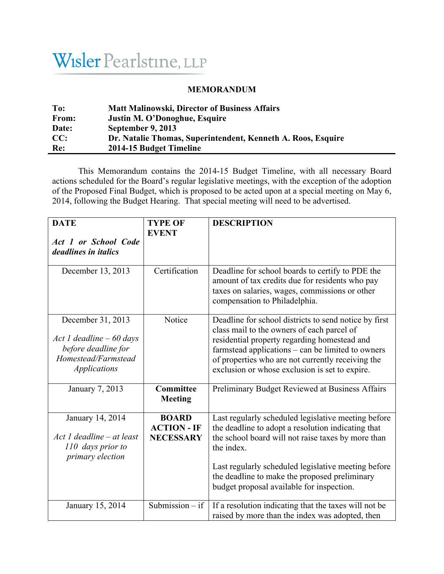## Wisler Pearlstine, LLP

## **MEMORANDUM**

| To:          | <b>Matt Malinowski, Director of Business Affairs</b>         |
|--------------|--------------------------------------------------------------|
| <b>From:</b> | Justin M. O'Donoghue, Esquire                                |
| Date:        | September 9, 2013                                            |
| CC:          | Dr. Natalie Thomas, Superintendent, Kenneth A. Roos, Esquire |
| Re:          | 2014-15 Budget Timeline                                      |

This Memorandum contains the 2014-15 Budget Timeline, with all necessary Board actions scheduled for the Board's regular legislative meetings, with the exception of the adoption of the Proposed Final Budget, which is proposed to be acted upon at a special meeting on May 6, 2014, following the Budget Hearing. That special meeting will need to be advertised.

| <b>DATE</b><br>Act 1 or School Code                                                                                 | <b>TYPE OF</b><br><b>EVENT</b>                         | <b>DESCRIPTION</b>                                                                                                                                                                                                                                                                                                                 |
|---------------------------------------------------------------------------------------------------------------------|--------------------------------------------------------|------------------------------------------------------------------------------------------------------------------------------------------------------------------------------------------------------------------------------------------------------------------------------------------------------------------------------------|
| deadlines in <i>italics</i>                                                                                         |                                                        |                                                                                                                                                                                                                                                                                                                                    |
| December 13, 2013                                                                                                   | Certification                                          | Deadline for school boards to certify to PDE the<br>amount of tax credits due for residents who pay<br>taxes on salaries, wages, commissions or other<br>compensation to Philadelphia.                                                                                                                                             |
| December 31, 2013<br>Act 1 deadline $-60$ days<br>before deadline for<br>Homestead/Farmstead<br><b>Applications</b> | Notice                                                 | Deadline for school districts to send notice by first<br>class mail to the owners of each parcel of<br>residential property regarding homestead and<br>farmstead applications – can be limited to owners<br>of properties who are not currently receiving the<br>exclusion or whose exclusion is set to expire.                    |
| January 7, 2013                                                                                                     | Committee<br><b>Meeting</b>                            | Preliminary Budget Reviewed at Business Affairs                                                                                                                                                                                                                                                                                    |
| January 14, 2014<br>Act 1 deadline – at least<br>110 days prior to<br>primary election                              | <b>BOARD</b><br><b>ACTION - IF</b><br><b>NECESSARY</b> | Last regularly scheduled legislative meeting before<br>the deadline to adopt a resolution indicating that<br>the school board will not raise taxes by more than<br>the index.<br>Last regularly scheduled legislative meeting before<br>the deadline to make the proposed preliminary<br>budget proposal available for inspection. |
| January 15, 2014                                                                                                    | Submission $-$ if                                      | If a resolution indicating that the taxes will not be<br>raised by more than the index was adopted, then                                                                                                                                                                                                                           |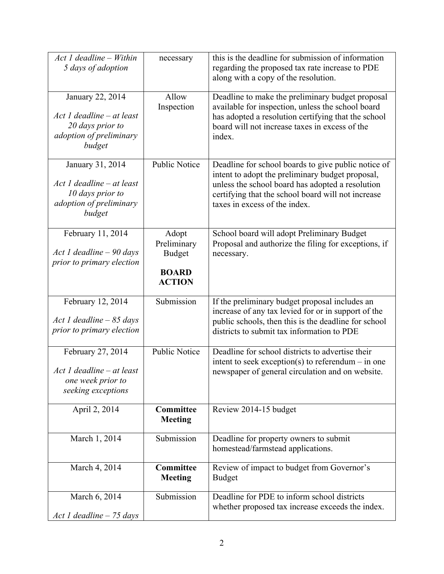| Act 1 deadline - Within<br>5 days of adoption                                                          | necessary                                                              | this is the deadline for submission of information<br>regarding the proposed tax rate increase to PDE<br>along with a copy of the resolution.                                                                                                      |
|--------------------------------------------------------------------------------------------------------|------------------------------------------------------------------------|----------------------------------------------------------------------------------------------------------------------------------------------------------------------------------------------------------------------------------------------------|
| January 22, 2014<br>Act 1 deadline – at least<br>20 days prior to<br>adoption of preliminary<br>budget | Allow<br>Inspection                                                    | Deadline to make the preliminary budget proposal<br>available for inspection, unless the school board<br>has adopted a resolution certifying that the school<br>board will not increase taxes in excess of the<br>index.                           |
| January 31, 2014<br>Act 1 deadline – at least<br>10 days prior to<br>adoption of preliminary<br>budget | <b>Public Notice</b>                                                   | Deadline for school boards to give public notice of<br>intent to adopt the preliminary budget proposal,<br>unless the school board has adopted a resolution<br>certifying that the school board will not increase<br>taxes in excess of the index. |
| February 11, 2014<br>Act 1 deadline $-90$ days<br>prior to primary election                            | Adopt<br>Preliminary<br><b>Budget</b><br><b>BOARD</b><br><b>ACTION</b> | School board will adopt Preliminary Budget<br>Proposal and authorize the filing for exceptions, if<br>necessary.                                                                                                                                   |
| February 12, 2014<br>Act 1 deadline $-85$ days<br>prior to primary election                            | Submission                                                             | If the preliminary budget proposal includes an<br>increase of any tax levied for or in support of the<br>public schools, then this is the deadline for school<br>districts to submit tax information to PDE                                        |
| February 27, 2014<br>$Act$ 1 deadline – at least<br>one week prior to<br>seeking exceptions            | <b>Public Notice</b>                                                   | Deadline for school districts to advertise their<br>intent to seek exception(s) to referendum $-$ in one<br>newspaper of general circulation and on website.                                                                                       |
| April 2, 2014                                                                                          | Committee<br><b>Meeting</b>                                            | Review 2014-15 budget                                                                                                                                                                                                                              |
| March 1, 2014                                                                                          | Submission                                                             | Deadline for property owners to submit<br>homestead/farmstead applications.                                                                                                                                                                        |
| March 4, 2014                                                                                          | <b>Committee</b><br><b>Meeting</b>                                     | Review of impact to budget from Governor's<br><b>Budget</b>                                                                                                                                                                                        |
| March 6, 2014<br>Act 1 deadline - 75 days                                                              | Submission                                                             | Deadline for PDE to inform school districts<br>whether proposed tax increase exceeds the index.                                                                                                                                                    |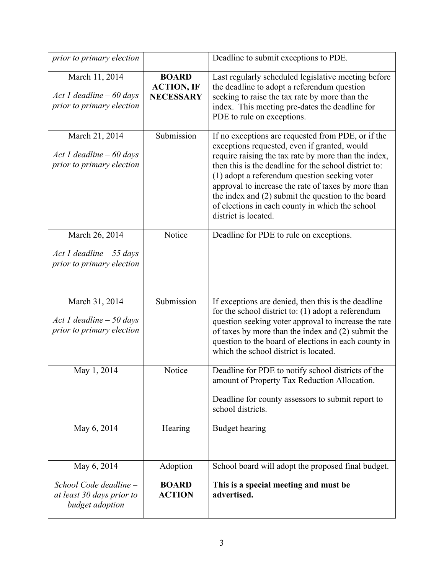| prior to primary election                                                             |                                                       | Deadline to submit exceptions to PDE.                                                                                                                                                                                                                                                                                                                                                                                                                        |
|---------------------------------------------------------------------------------------|-------------------------------------------------------|--------------------------------------------------------------------------------------------------------------------------------------------------------------------------------------------------------------------------------------------------------------------------------------------------------------------------------------------------------------------------------------------------------------------------------------------------------------|
| March 11, 2014<br>Act 1 deadline $-60$ days<br>prior to primary election              | <b>BOARD</b><br><b>ACTION, IF</b><br><b>NECESSARY</b> | Last regularly scheduled legislative meeting before<br>the deadline to adopt a referendum question<br>seeking to raise the tax rate by more than the<br>index. This meeting pre-dates the deadline for<br>PDE to rule on exceptions.                                                                                                                                                                                                                         |
| March 21, 2014<br>Act 1 deadline $-60$ days<br>prior to primary election              | Submission                                            | If no exceptions are requested from PDE, or if the<br>exceptions requested, even if granted, would<br>require raising the tax rate by more than the index,<br>then this is the deadline for the school district to:<br>(1) adopt a referendum question seeking voter<br>approval to increase the rate of taxes by more than<br>the index and (2) submit the question to the board<br>of elections in each county in which the school<br>district is located. |
| March 26, 2014<br>Act 1 deadline $-55$ days<br>prior to primary election              | Notice                                                | Deadline for PDE to rule on exceptions.                                                                                                                                                                                                                                                                                                                                                                                                                      |
| March 31, 2014<br>Act 1 deadline $-50$ days<br>prior to primary election              | Submission                                            | If exceptions are denied, then this is the deadline<br>for the school district to: $(1)$ adopt a referendum<br>question seeking voter approval to increase the rate<br>of taxes by more than the index and (2) submit the<br>question to the board of elections in each county in<br>which the school district is located.                                                                                                                                   |
| May 1, 2014                                                                           | Notice                                                | Deadline for PDE to notify school districts of the<br>amount of Property Tax Reduction Allocation.<br>Deadline for county assessors to submit report to<br>school districts.                                                                                                                                                                                                                                                                                 |
| May 6, 2014                                                                           | Hearing                                               | <b>Budget hearing</b>                                                                                                                                                                                                                                                                                                                                                                                                                                        |
| May 6, 2014<br>School Code deadline -<br>at least 30 days prior to<br>budget adoption | Adoption<br><b>BOARD</b><br><b>ACTION</b>             | School board will adopt the proposed final budget.<br>This is a special meeting and must be<br>advertised.                                                                                                                                                                                                                                                                                                                                                   |